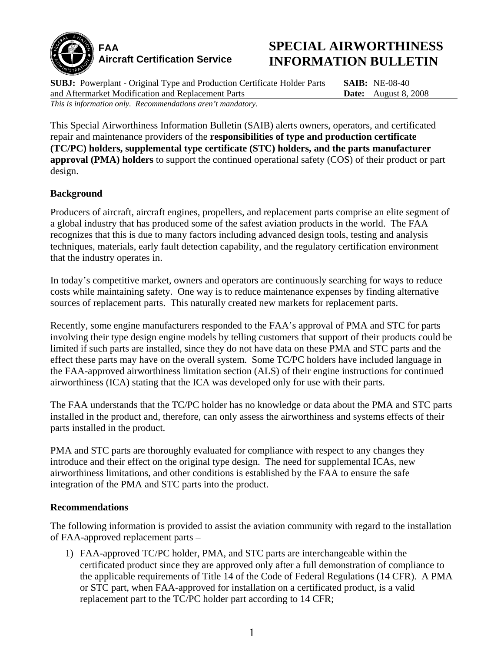

## **SPECIAL AIRWORTHINESS INFORMATION BULLETIN**

**SUBJ:** Powerplant - Original Type and Production Certificate Holder Parts and Aftermarket Modification and Replacement Parts *This is information only. Recommendations aren't mandatory.*

**SAIB:** NE-08-40 **Date:** August 8, 2008

This Special Airworthiness Information Bulletin (SAIB) alerts owners, operators, and certificated repair and maintenance providers of the **responsibilities of type and production certificate (TC/PC) holders, supplemental type certificate (STC) holders, and the parts manufacturer approval (PMA) holders** to support the continued operational safety (COS) of their product or part design.

## **Background**

Producers of aircraft, aircraft engines, propellers, and replacement parts comprise an elite segment of a global industry that has produced some of the safest aviation products in the world. The FAA recognizes that this is due to many factors including advanced design tools, testing and analysis techniques, materials, early fault detection capability, and the regulatory certification environment that the industry operates in.

In today's competitive market, owners and operators are continuously searching for ways to reduce costs while maintaining safety. One way is to reduce maintenance expenses by finding alternative sources of replacement parts. This naturally created new markets for replacement parts.

Recently, some engine manufacturers responded to the FAA's approval of PMA and STC for parts involving their type design engine models by telling customers that support of their products could be limited if such parts are installed, since they do not have data on these PMA and STC parts and the effect these parts may have on the overall system. Some TC/PC holders have included language in the FAA-approved airworthiness limitation section (ALS) of their engine instructions for continued airworthiness (ICA) stating that the ICA was developed only for use with their parts.

The FAA understands that the TC/PC holder has no knowledge or data about the PMA and STC parts installed in the product and, therefore, can only assess the airworthiness and systems effects of their parts installed in the product.

PMA and STC parts are thoroughly evaluated for compliance with respect to any changes they introduce and their effect on the original type design. The need for supplemental ICAs, new airworthiness limitations, and other conditions is established by the FAA to ensure the safe integration of the PMA and STC parts into the product.

## **Recommendations**

The following information is provided to assist the aviation community with regard to the installation of FAA-approved replacement parts –

1) FAA-approved TC/PC holder, PMA, and STC parts are interchangeable within the certificated product since they are approved only after a full demonstration of compliance to the applicable requirements of Title 14 of the Code of Federal Regulations (14 CFR). A PMA or STC part, when FAA-approved for installation on a certificated product, is a valid replacement part to the TC/PC holder part according to 14 CFR;